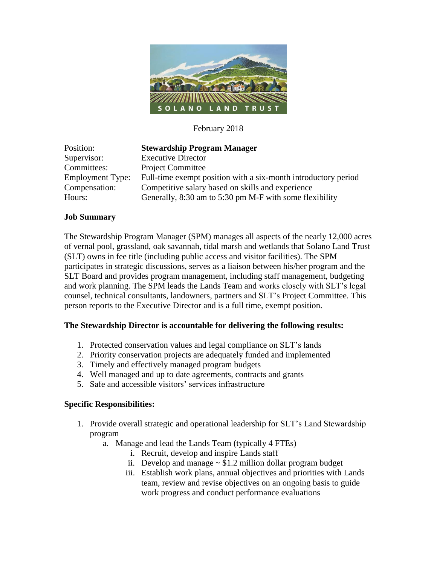

### February 2018

| Position:               | <b>Stewardship Program Manager</b>                             |
|-------------------------|----------------------------------------------------------------|
| Supervisor:             | <b>Executive Director</b>                                      |
| Committees:             | <b>Project Committee</b>                                       |
| <b>Employment Type:</b> | Full-time exempt position with a six-month introductory period |
| Compensation:           | Competitive salary based on skills and experience              |
| Hours:                  | Generally, 8:30 am to 5:30 pm M-F with some flexibility        |

#### **Job Summary**

The Stewardship Program Manager (SPM) manages all aspects of the nearly 12,000 acres of vernal pool, grassland, oak savannah, tidal marsh and wetlands that Solano Land Trust (SLT) owns in fee title (including public access and visitor facilities). The SPM participates in strategic discussions, serves as a liaison between his/her program and the SLT Board and provides program management, including staff management, budgeting and work planning. The SPM leads the Lands Team and works closely with SLT's legal counsel, technical consultants, landowners, partners and SLT's Project Committee. This person reports to the Executive Director and is a full time, exempt position.

#### **The Stewardship Director is accountable for delivering the following results:**

- 1. Protected conservation values and legal compliance on SLT's lands
- 2. Priority conservation projects are adequately funded and implemented
- 3. Timely and effectively managed program budgets
- 4. Well managed and up to date agreements, contracts and grants
- 5. Safe and accessible visitors' services infrastructure

#### **Specific Responsibilities:**

- 1. Provide overall strategic and operational leadership for SLT's Land Stewardship program
	- a. Manage and lead the Lands Team (typically 4 FTEs)
		- i. Recruit, develop and inspire Lands staff
		- ii. Develop and manage  $\sim$  \$1.2 million dollar program budget
		- iii. Establish work plans, annual objectives and priorities with Lands team, review and revise objectives on an ongoing basis to guide work progress and conduct performance evaluations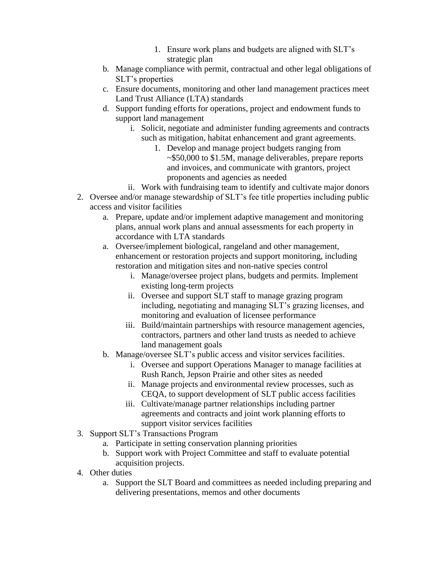- 1. Ensure work plans and budgets are aligned with SLT's strategic plan
- b. Manage compliance with permit, contractual and other legal obligations of SLT's properties
- c. Ensure documents, monitoring and other land management practices meet Land Trust Alliance (LTA) standards
- d. Support funding efforts for operations, project and endowment funds to support land management
	- i. Solicit, negotiate and administer funding agreements and contracts such as mitigation, habitat enhancement and grant agreements.
		- 1. Develop and manage project budgets ranging from ~\$50,000 to \$1.5M, manage deliverables, prepare reports and invoices, and communicate with grantors, project proponents and agencies as needed
	- ii. Work with fundraising team to identify and cultivate major donors
- 2. Oversee and/or manage stewardship of SLT's fee title properties including public access and visitor facilities
	- a. Prepare, update and/or implement adaptive management and monitoring plans, annual work plans and annual assessments for each property in accordance with LTA standards
	- a. Oversee/implement biological, rangeland and other management, enhancement or restoration projects and support monitoring, including restoration and mitigation sites and non-native species control
		- i. Manage/oversee project plans, budgets and permits. Implement existing long-term projects
		- ii. Oversee and support SLT staff to manage grazing program including, negotiating and managing SLT's grazing licenses, and monitoring and evaluation of licensee performance
		- iii. Build/maintain partnerships with resource management agencies, contractors, partners and other land trusts as needed to achieve land management goals
	- b. Manage/oversee SLT's public access and visitor services facilities.
		- i. Oversee and support Operations Manager to manage facilities at Rush Ranch, Jepson Prairie and other sites as needed
		- ii. Manage projects and environmental review processes, such as CEQA, to support development of SLT public access facilities
		- iii. Cultivate/manage partner relationships including partner agreements and contracts and joint work planning efforts to support visitor services facilities
- 3. Support SLT's Transactions Program
	- a. Participate in setting conservation planning priorities
	- b. Support work with Project Committee and staff to evaluate potential acquisition projects.
- 4. Other duties
	- a. Support the SLT Board and committees as needed including preparing and delivering presentations, memos and other documents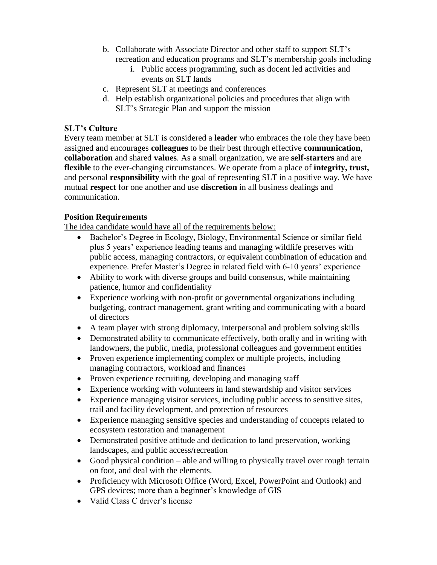- b. Collaborate with Associate Director and other staff to support SLT's recreation and education programs and SLT's membership goals including
	- i. Public access programming, such as docent led activities and events on SLT lands
- c. Represent SLT at meetings and conferences
- d. Help establish organizational policies and procedures that align with SLT's Strategic Plan and support the mission

## **SLT's Culture**

Every team member at SLT is considered a **leader** who embraces the role they have been assigned and encourages **colleagues** to be their best through effective **communication**, **collaboration** and shared **values**. As a small organization, we are **self-starters** and are **flexible** to the ever-changing circumstances. We operate from a place of **integrity, trust,** and personal **responsibility** with the goal of representing SLT in a positive way. We have mutual **respect** for one another and use **discretion** in all business dealings and communication.

## **Position Requirements**

The idea candidate would have all of the requirements below:

- Bachelor's Degree in Ecology, Biology, Environmental Science or similar field plus 5 years' experience leading teams and managing wildlife preserves with public access, managing contractors, or equivalent combination of education and experience. Prefer Master's Degree in related field with 6-10 years' experience
- Ability to work with diverse groups and build consensus, while maintaining patience, humor and confidentiality
- Experience working with non-profit or governmental organizations including budgeting, contract management, grant writing and communicating with a board of directors
- A team player with strong diplomacy, interpersonal and problem solving skills
- Demonstrated ability to communicate effectively, both orally and in writing with landowners, the public, media, professional colleagues and government entities
- Proven experience implementing complex or multiple projects, including managing contractors, workload and finances
- Proven experience recruiting, developing and managing staff
- Experience working with volunteers in land stewardship and visitor services
- Experience managing visitor services, including public access to sensitive sites, trail and facility development, and protection of resources
- Experience managing sensitive species and understanding of concepts related to ecosystem restoration and management
- Demonstrated positive attitude and dedication to land preservation, working landscapes, and public access/recreation
- Good physical condition able and willing to physically travel over rough terrain on foot, and deal with the elements.
- Proficiency with Microsoft Office (Word, Excel, PowerPoint and Outlook) and GPS devices; more than a beginner's knowledge of GIS
- Valid Class C driver's license